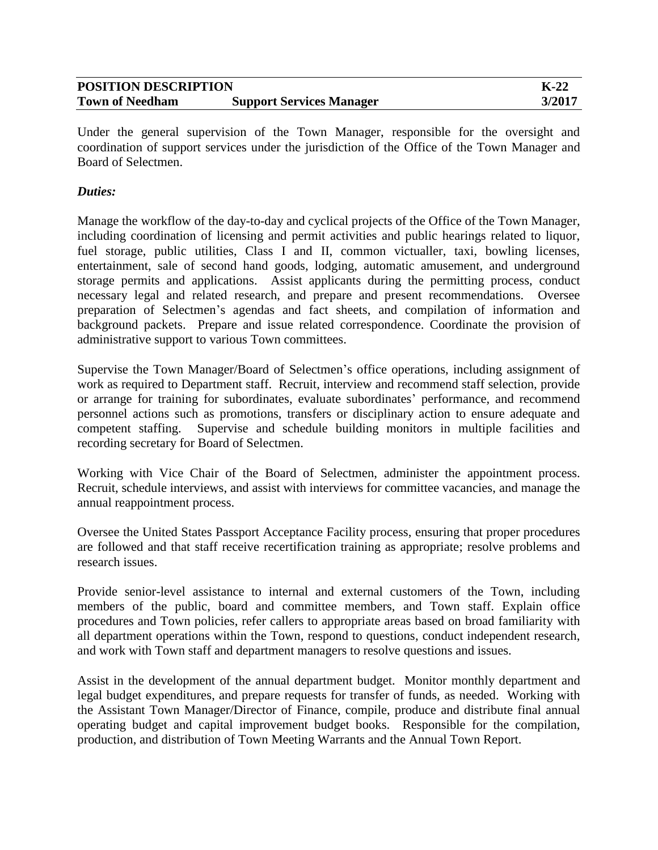| <b>POSITION DESCRIPTION</b> |                                 | $K-22$ |
|-----------------------------|---------------------------------|--------|
| <b>Town of Needham</b>      | <b>Support Services Manager</b> | 3/2017 |

Under the general supervision of the Town Manager, responsible for the oversight and coordination of support services under the jurisdiction of the Office of the Town Manager and Board of Selectmen.

## *Duties:*

Manage the workflow of the day-to-day and cyclical projects of the Office of the Town Manager, including coordination of licensing and permit activities and public hearings related to liquor, fuel storage, public utilities, Class I and II, common victualler, taxi, bowling licenses, entertainment, sale of second hand goods, lodging, automatic amusement, and underground storage permits and applications. Assist applicants during the permitting process, conduct necessary legal and related research, and prepare and present recommendations. Oversee preparation of Selectmen's agendas and fact sheets, and compilation of information and background packets. Prepare and issue related correspondence. Coordinate the provision of administrative support to various Town committees.

Supervise the Town Manager/Board of Selectmen's office operations, including assignment of work as required to Department staff. Recruit, interview and recommend staff selection, provide or arrange for training for subordinates, evaluate subordinates' performance, and recommend personnel actions such as promotions, transfers or disciplinary action to ensure adequate and competent staffing. Supervise and schedule building monitors in multiple facilities and recording secretary for Board of Selectmen.

Working with Vice Chair of the Board of Selectmen, administer the appointment process. Recruit, schedule interviews, and assist with interviews for committee vacancies, and manage the annual reappointment process.

Oversee the United States Passport Acceptance Facility process, ensuring that proper procedures are followed and that staff receive recertification training as appropriate; resolve problems and research issues.

Provide senior-level assistance to internal and external customers of the Town, including members of the public, board and committee members, and Town staff. Explain office procedures and Town policies, refer callers to appropriate areas based on broad familiarity with all department operations within the Town, respond to questions, conduct independent research, and work with Town staff and department managers to resolve questions and issues.

Assist in the development of the annual department budget. Monitor monthly department and legal budget expenditures, and prepare requests for transfer of funds, as needed. Working with the Assistant Town Manager/Director of Finance, compile, produce and distribute final annual operating budget and capital improvement budget books. Responsible for the compilation, production, and distribution of Town Meeting Warrants and the Annual Town Report.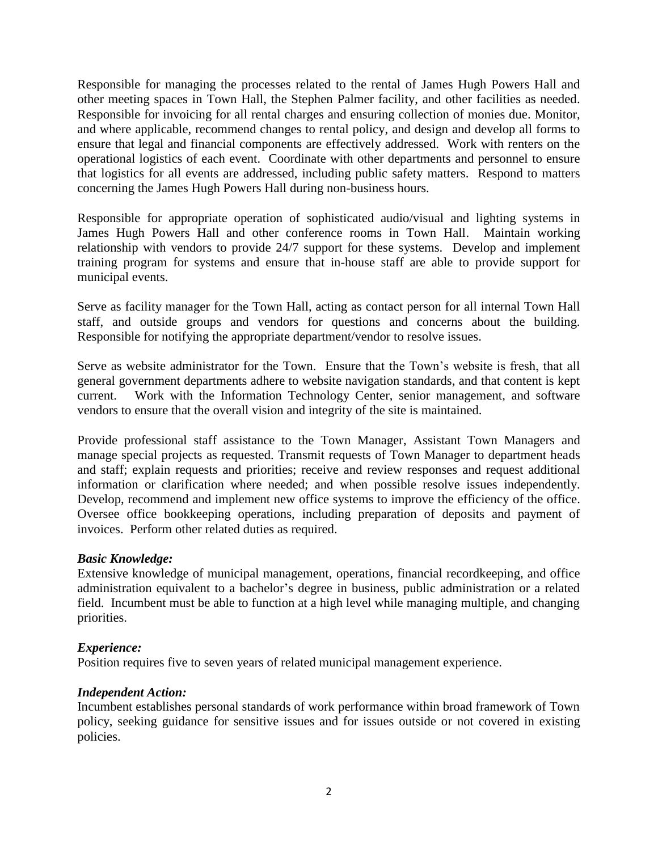Responsible for managing the processes related to the rental of James Hugh Powers Hall and other meeting spaces in Town Hall, the Stephen Palmer facility, and other facilities as needed. Responsible for invoicing for all rental charges and ensuring collection of monies due. Monitor, and where applicable, recommend changes to rental policy, and design and develop all forms to ensure that legal and financial components are effectively addressed. Work with renters on the operational logistics of each event. Coordinate with other departments and personnel to ensure that logistics for all events are addressed, including public safety matters. Respond to matters concerning the James Hugh Powers Hall during non-business hours.

Responsible for appropriate operation of sophisticated audio/visual and lighting systems in James Hugh Powers Hall and other conference rooms in Town Hall. Maintain working relationship with vendors to provide 24/7 support for these systems. Develop and implement training program for systems and ensure that in-house staff are able to provide support for municipal events.

Serve as facility manager for the Town Hall, acting as contact person for all internal Town Hall staff, and outside groups and vendors for questions and concerns about the building. Responsible for notifying the appropriate department/vendor to resolve issues.

Serve as website administrator for the Town. Ensure that the Town's website is fresh, that all general government departments adhere to website navigation standards, and that content is kept current. Work with the Information Technology Center, senior management, and software vendors to ensure that the overall vision and integrity of the site is maintained.

Provide professional staff assistance to the Town Manager, Assistant Town Managers and manage special projects as requested. Transmit requests of Town Manager to department heads and staff; explain requests and priorities; receive and review responses and request additional information or clarification where needed; and when possible resolve issues independently. Develop, recommend and implement new office systems to improve the efficiency of the office. Oversee office bookkeeping operations, including preparation of deposits and payment of invoices. Perform other related duties as required.

# *Basic Knowledge:*

Extensive knowledge of municipal management, operations, financial recordkeeping, and office administration equivalent to a bachelor's degree in business, public administration or a related field. Incumbent must be able to function at a high level while managing multiple, and changing priorities.

#### *Experience:*

Position requires five to seven years of related municipal management experience.

# *Independent Action:*

Incumbent establishes personal standards of work performance within broad framework of Town policy, seeking guidance for sensitive issues and for issues outside or not covered in existing policies.